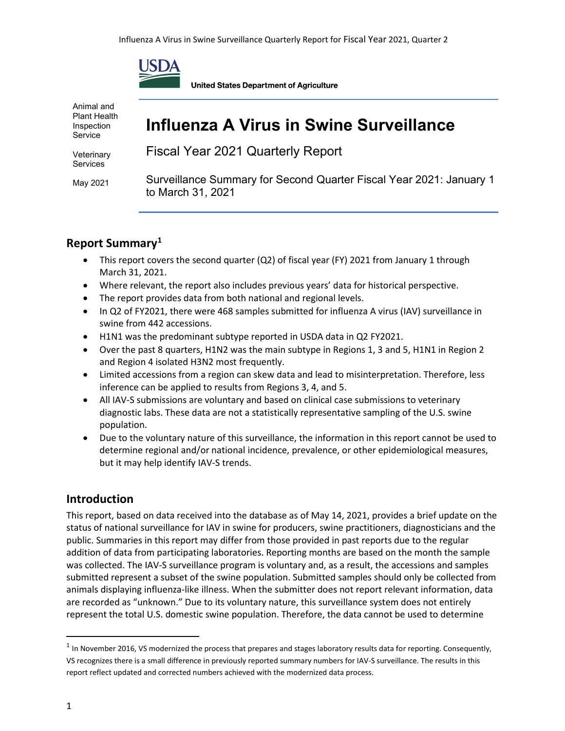

Animal and Plant Health Inspection Service

Veterinary **Services** 

May 2021

**United States Department of Agriculture** 

## **Influenza A Virus in Swine Surveillance**

Fiscal Year 2021 Quarterly Report

Surveillance Summary for Second Quarter Fiscal Year 2021: January 1 to March 31, 2021

## **Report Summary[1](#page-0-0)**

- This report covers the second quarter (Q2) of fiscal year (FY) 2021 from January 1 through March 31, 2021.
- Where relevant, the report also includes previous years' data for historical perspective.
- The report provides data from both national and regional levels.
- In Q2 of FY2021, there were 468 samples submitted for influenza A virus (IAV) surveillance in swine from 442 accessions.
- H1N1 was the predominant subtype reported in USDA data in Q2 FY2021.
- Over the past 8 quarters, H1N2 was the main subtype in Regions 1, 3 and 5, H1N1 in Region 2 and Region 4 isolated H3N2 most frequently.
- Limited accessions from a region can skew data and lead to misinterpretation. Therefore, less inference can be applied to results from Regions 3, 4, and 5.
- All IAV-S submissions are voluntary and based on clinical case submissions to veterinary diagnostic labs. These data are not a statistically representative sampling of the U.S. swine population.
- Due to the voluntary nature of this surveillance, the information in this report cannot be used to determine regional and/or national incidence, prevalence, or other epidemiological measures, but it may help identify IAV-S trends.

### **Introduction**

This report, based on data received into the database as of May 14, 2021, provides a brief update on the status of national surveillance for IAV in swine for producers, swine practitioners, diagnosticians and the public. Summaries in this report may differ from those provided in past reports due to the regular addition of data from participating laboratories. Reporting months are based on the month the sample was collected. The IAV-S surveillance program is voluntary and, as a result, the accessions and samples submitted represent a subset of the swine population. Submitted samples should only be collected from animals displaying influenza-like illness. When the submitter does not report relevant information, data are recorded as "unknown." Due to its voluntary nature, this surveillance system does not entirely represent the total U.S. domestic swine population. Therefore, the data cannot be used to determine

<span id="page-0-0"></span> $1$  In November 2016, VS modernized the process that prepares and stages laboratory results data for reporting. Consequently, VS recognizes there is a small difference in previously reported summary numbers for IAV-S surveillance. The results in this report reflect updated and corrected numbers achieved with the modernized data process.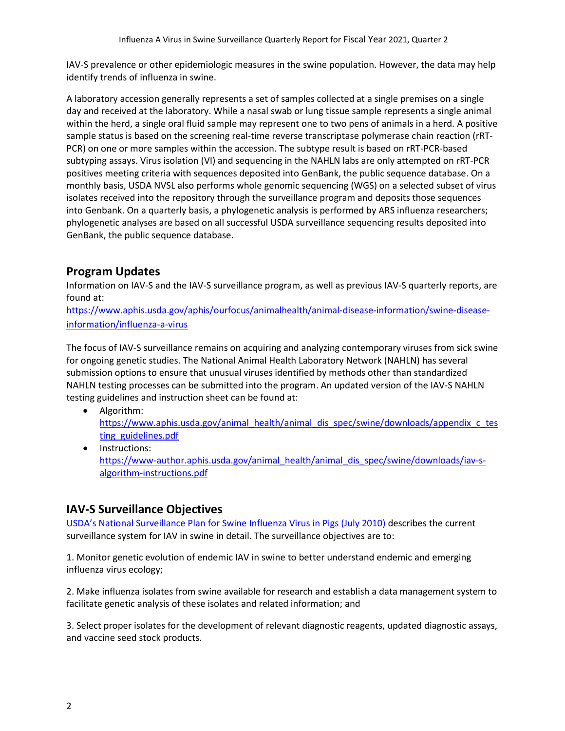IAV-S prevalence or other epidemiologic measures in the swine population. However, the data may help identify trends of influenza in swine.

A laboratory accession generally represents a set of samples collected at a single premises on a single day and received at the laboratory. While a nasal swab or lung tissue sample represents a single animal within the herd, a single oral fluid sample may represent one to two pens of animals in a herd. A positive sample status is based on the screening real-time reverse transcriptase polymerase chain reaction (rRT-PCR) on one or more samples within the accession. The subtype result is based on rRT-PCR-based subtyping assays. Virus isolation (VI) and sequencing in the NAHLN labs are only attempted on rRT-PCR positives meeting criteria with sequences deposited into GenBank, the public sequence database. On a monthly basis, USDA NVSL also performs whole genomic sequencing (WGS) on a selected subset of virus isolates received into the repository through the surveillance program and deposits those sequences into Genbank. On a quarterly basis, a phylogenetic analysis is performed by ARS influenza researchers; phylogenetic analyses are based on all successful USDA surveillance sequencing results deposited into GenBank, the public sequence database.

## **Program Updates**

Information on IAV-S and the IAV-S surveillance program, as well as previous IAV-S quarterly reports, are found at:

[https://www.aphis.usda.gov/aphis/ourfocus/animalhealth/animal-disease-information/swine-disease](https://www.aphis.usda.gov/aphis/ourfocus/animalhealth/animal-disease-information/swine-disease-information/influenza-a-virus)[information/influenza-a-virus](https://www.aphis.usda.gov/aphis/ourfocus/animalhealth/animal-disease-information/swine-disease-information/influenza-a-virus)

The focus of IAV-S surveillance remains on acquiring and analyzing contemporary viruses from sick swine for ongoing genetic studies. The National Animal Health Laboratory Network (NAHLN) has several submission options to ensure that unusual viruses identified by methods other than standardized NAHLN testing processes can be submitted into the program. An updated version of the IAV-S NAHLN testing guidelines and instruction sheet can be found at:

- Algorithm: [https://www.aphis.usda.gov/animal\\_health/animal\\_dis\\_spec/swine/downloads/appendix\\_c\\_tes](https://www.aphis.usda.gov/animal_health/animal_dis_spec/swine/downloads/appendix_c_testing_guidelines.pdf) [ting\\_guidelines.pdf](https://www.aphis.usda.gov/animal_health/animal_dis_spec/swine/downloads/appendix_c_testing_guidelines.pdf)
- Instructions: [https://www-author.aphis.usda.gov/animal\\_health/animal\\_dis\\_spec/swine/downloads/iav-s](https://www-author.aphis.usda.gov/animal_health/animal_dis_spec/swine/downloads/iav-s-algorithm-instructions.pdf)[algorithm-instructions.pdf](https://www-author.aphis.usda.gov/animal_health/animal_dis_spec/swine/downloads/iav-s-algorithm-instructions.pdf)

## **IAV-S Surveillance Objectives**

[USDA's National Surveillance Plan for Swine Influenza Virus in Pigs \(July 2010\)](https://www.aphis.usda.gov/animal_health/animal_dis_spec/swine/downloads/appendix_a_national_surv_plan.pdf) describes the current surveillance system for IAV in swine in detail. The surveillance objectives are to:

1. Monitor genetic evolution of endemic IAV in swine to better understand endemic and emerging influenza virus ecology;

2. Make influenza isolates from swine available for research and establish a data management system to facilitate genetic analysis of these isolates and related information; and

3. Select proper isolates for the development of relevant diagnostic reagents, updated diagnostic assays, and vaccine seed stock products.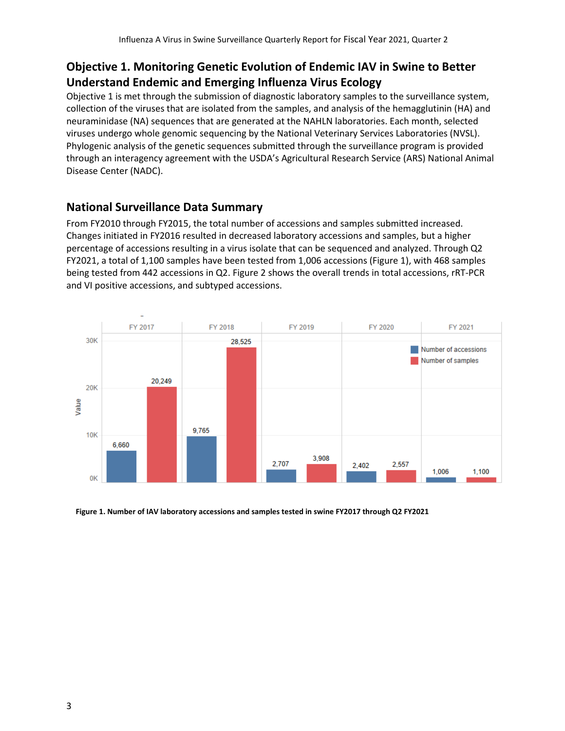## **Objective 1. Monitoring Genetic Evolution of Endemic IAV in Swine to Better Understand Endemic and Emerging Influenza Virus Ecology**

Objective 1 is met through the submission of diagnostic laboratory samples to the surveillance system, collection of the viruses that are isolated from the samples, and analysis of the hemagglutinin (HA) and neuraminidase (NA) sequences that are generated at the NAHLN laboratories. Each month, selected viruses undergo whole genomic sequencing by the National Veterinary Services Laboratories (NVSL). Phylogenic analysis of the genetic sequences submitted through the surveillance program is provided through an interagency agreement with the USDA's Agricultural Research Service (ARS) National Animal Disease Center (NADC).

## **National Surveillance Data Summary**

From FY2010 through FY2015, the total number of accessions and samples submitted increased. Changes initiated in FY2016 resulted in decreased laboratory accessions and samples, but a higher percentage of accessions resulting in a virus isolate that can be sequenced and analyzed. Through Q2 FY2021, a total of 1,100 samples have been tested from 1,006 accessions (Figure 1), with 468 samples being tested from 442 accessions in Q2. Figure 2 shows the overall trends in total accessions, rRT-PCR and VI positive accessions, and subtyped accessions.



 **Figure 1. Number of IAV laboratory accessions and samples tested in swine FY2017 through Q2 FY2021**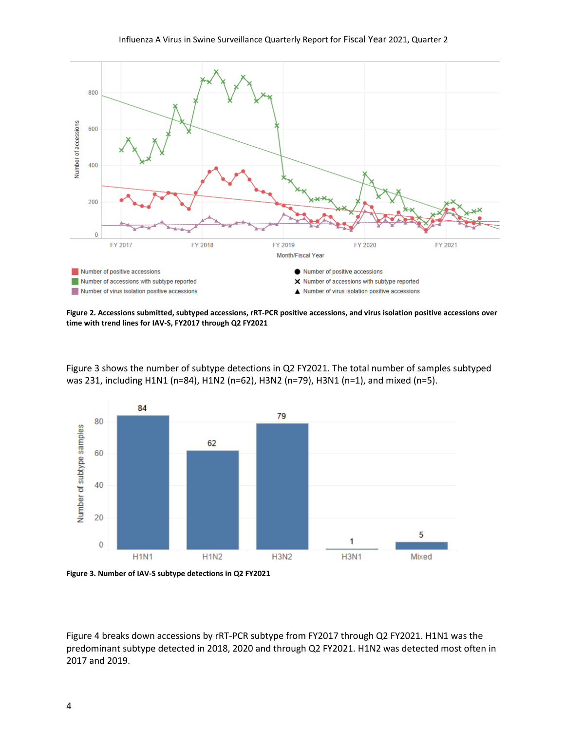

**Figure 2. Accessions submitted, subtyped accessions, rRT-PCR positive accessions, and virus isolation positive accessions over time with trend lines for IAV-S, FY2017 through Q2 FY2021**

Figure 3 shows the number of subtype detections in Q2 FY2021. The total number of samples subtyped was 231, including H1N1 (n=84), H1N2 (n=62), H3N2 (n=79), H3N1 (n=1), and mixed (n=5).

![](_page_3_Figure_4.jpeg)

Figure 4 breaks down accessions by rRT-PCR subtype from FY2017 through Q2 FY2021. H1N1 was the predominant subtype detected in 2018, 2020 and through Q2 FY2021. H1N2 was detected most often in 2017 and 2019.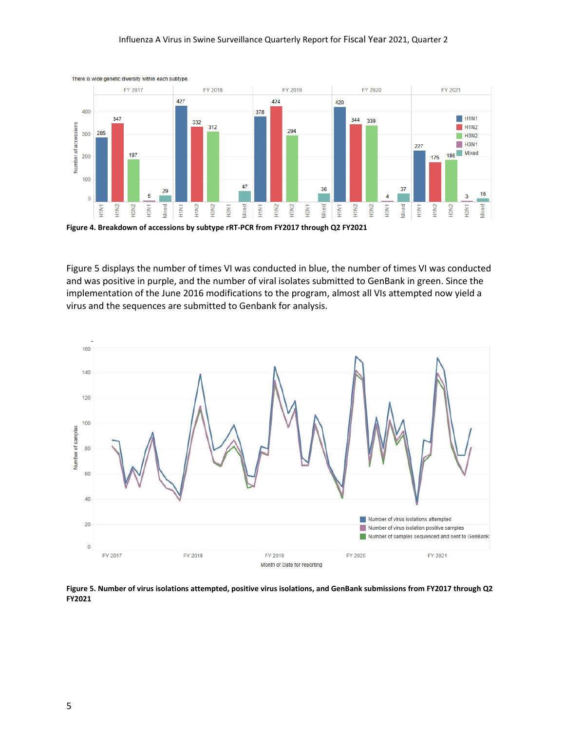#### Influenza A Virus in Swine Surveillance Quarterly Report for Fiscal Year 2021, Quarter 2

![](_page_4_Figure_1.jpeg)

**Figure 4. Breakdown of accessions by subtype rRT-PCR from FY2017 through Q2 FY2021**

Figure 5 displays the number of times VI was conducted in blue, the number of times VI was conducted and was positive in purple, and the number of viral isolates submitted to GenBank in green. Since the implementation of the June 2016 modifications to the program, almost all VIs attempted now yield a virus and the sequences are submitted to Genbank for analysis.

![](_page_4_Figure_4.jpeg)

**Figure 5. Number of virus isolations attempted, positive virus isolations, and GenBank submissions from FY2017 through Q2 FY2021**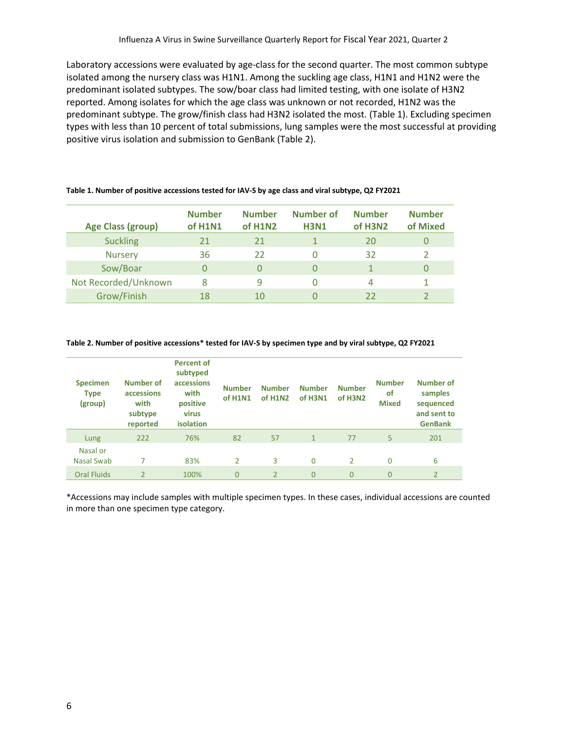Laboratory accessions were evaluated by age-class for the second quarter. The most common subtype isolated among the nursery class was H1N1. Among the suckling age class, H1N1 and H1N2 were the predominant isolated subtypes. The sow/boar class had limited testing, with one isolate of H3N2 reported. Among isolates for which the age class was unknown or not recorded, H1N2 was the predominant subtype. The grow/finish class had H3N2 isolated the most. (Table 1). Excluding specimen types with less than 10 percent of total submissions, lung samples were the most successful at providing positive virus isolation and submission to GenBank (Table 2).

| <b>Age Class (group)</b> | <b>Number</b><br>of H1N1 | <b>Number</b><br>of H1N2 | <b>Number of</b><br><b>H3N1</b> | <b>Number</b><br>of H3N2 | <b>Number</b><br>of Mixed |
|--------------------------|--------------------------|--------------------------|---------------------------------|--------------------------|---------------------------|
| <b>Suckling</b>          | 21                       | 21                       |                                 | 20                       |                           |
| <b>Nursery</b>           | 36                       | 22                       |                                 | 32                       |                           |
| Sow/Boar                 | 0                        |                          |                                 |                          |                           |
| Not Recorded/Unknown     | 8                        | q                        |                                 | 4                        |                           |
| Grow/Finish              | 18                       | 10                       |                                 | 22                       |                           |

#### **Table 1. Number of positive accessions tested for IAV-S by age class and viral subtype, Q2 FY2021**

#### **Table 2. Number of positive accessions\* tested for IAV-S by specimen type and by viral subtype, Q2 FY2021**

| <b>Specimen</b><br><b>Type</b><br>(group) | Number of<br>accessions<br>with<br>subtype<br>reported | <b>Percent of</b><br>subtyped<br>accessions<br>with<br>positive<br>virus<br>isolation | <b>Number</b><br>of H1N1 | <b>Number</b><br>of H1N2 | <b>Number</b><br>of H3N1 | <b>Number</b><br>of H3N2 | <b>Number</b><br><b>of</b><br><b>Mixed</b> | Number of<br>samples<br>sequenced<br>and sent to<br><b>GenBank</b> |
|-------------------------------------------|--------------------------------------------------------|---------------------------------------------------------------------------------------|--------------------------|--------------------------|--------------------------|--------------------------|--------------------------------------------|--------------------------------------------------------------------|
| Lung                                      | 222                                                    | 76%                                                                                   | 82                       | 57                       | $\mathbf{1}$             | 77                       | 5                                          | 201                                                                |
| Nasal or<br>Nasal Swab                    |                                                        | 83%                                                                                   | 2                        | 3                        | $\Omega$                 | $\mathcal{P}$            | 0                                          | 6                                                                  |
| <b>Oral Fluids</b>                        | $\overline{2}$                                         | 100%                                                                                  | 0                        | $\overline{2}$           | $\Omega$                 | $\Omega$                 | $\Omega$                                   | $\overline{2}$                                                     |

\*Accessions may include samples with multiple specimen types. In these cases, individual accessions are counted in more than one specimen type category.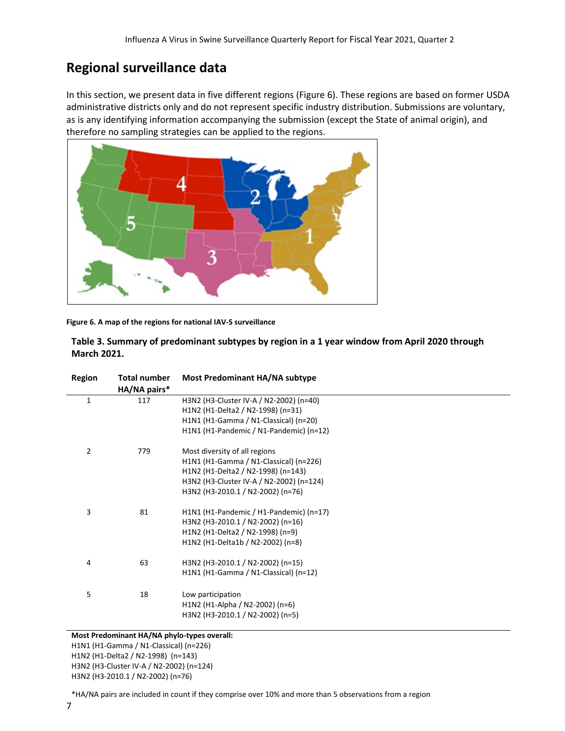## **Regional surveillance data**

In this section, we present data in five different regions (Figure 6). These regions are based on former USDA administrative districts only and do not represent specific industry distribution. Submissions are voluntary, as is any identifying information accompanying the submission (except the State of animal origin), and therefore no sampling strategies can be applied to the regions.

![](_page_6_Picture_3.jpeg)

**Figure 6. A map of the regions for national IAV-S surveillance**

| Table 3. Summary of predominant subtypes by region in a 1 year window from April 2020 through |
|-----------------------------------------------------------------------------------------------|
| <b>March 2021.</b>                                                                            |

| Region         | <b>Total number</b><br>HA/NA pairs* | Most Predominant HA/NA subtype           |
|----------------|-------------------------------------|------------------------------------------|
| $\mathbf{1}$   | 117                                 | H3N2 (H3-Cluster IV-A / N2-2002) (n=40)  |
|                |                                     | H1N2 (H1-Delta2 / N2-1998) (n=31)        |
|                |                                     | H1N1 (H1-Gamma / N1-Classical) (n=20)    |
|                |                                     | H1N1 (H1-Pandemic / N1-Pandemic) (n=12)  |
| $\overline{2}$ | 779                                 | Most diversity of all regions            |
|                |                                     | H1N1 (H1-Gamma / N1-Classical) (n=226)   |
|                |                                     | H1N2 (H1-Delta2 / N2-1998) (n=143)       |
|                |                                     | H3N2 (H3-Cluster IV-A / N2-2002) (n=124) |
|                |                                     | H3N2 (H3-2010.1 / N2-2002) (n=76)        |
| 3              | 81                                  | H1N1 (H1-Pandemic / H1-Pandemic) (n=17)  |
|                |                                     | H3N2 (H3-2010.1 / N2-2002) (n=16)        |
|                |                                     | H1N2 (H1-Delta2 / N2-1998) (n=9)         |
|                |                                     | H1N2 (H1-Delta1b / N2-2002) (n=8)        |
| 4              | 63                                  | H3N2 (H3-2010.1 / N2-2002) (n=15)        |
|                |                                     | H1N1 (H1-Gamma / N1-Classical) (n=12)    |
| 5              | 18                                  | Low participation                        |
|                |                                     | H1N2 (H1-Alpha / N2-2002) (n=6)          |
|                |                                     | H3N2 (H3-2010.1 / N2-2002) (n=5)         |
|                |                                     |                                          |

#### **Most Predominant HA/NA phylo-types overall:**  H1N1 (H1-Gamma / N1-Classical) (n=226) H1N2 (H1-Delta2 / N2-1998) (n=143) H3N2 (H3-Cluster IV-A / N2-2002) (n=124)

H3N2 (H3-2010.1 / N2-2002) (n=76)

\*HA/NA pairs are included in count if they comprise over 10% and more than 5 observations from a region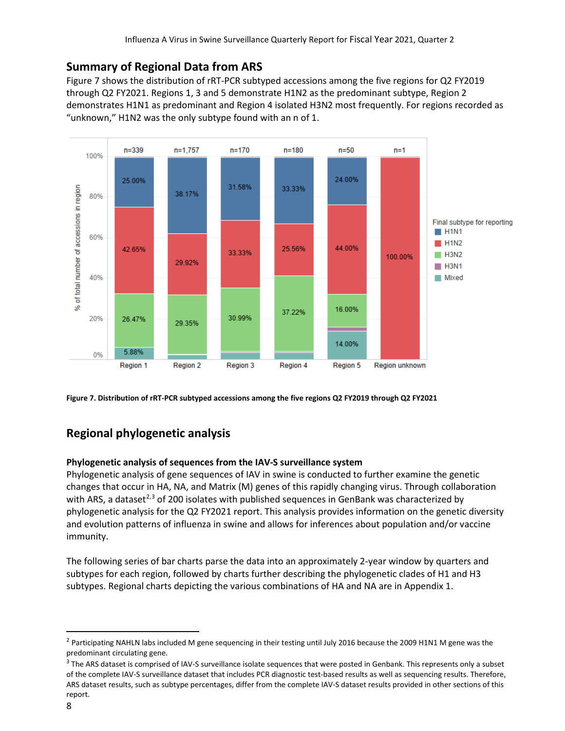## **Summary of Regional Data from ARS**

Figure 7 shows the distribution of rRT-PCR subtyped accessions among the five regions for Q2 FY2019 through Q2 FY2021. Regions 1, 3 and 5 demonstrate H1N2 as the predominant subtype, Region 2 demonstrates H1N1 as predominant and Region 4 isolated H3N2 most frequently. For regions recorded as "unknown," H1N2 was the only subtype found with an n of 1.

![](_page_7_Figure_3.jpeg)

**Figure 7. Distribution of rRT-PCR subtyped accessions among the five regions Q2 FY2019 through Q2 FY2021**

## **Regional phylogenetic analysis**

#### **Phylogenetic analysis of sequences from the IAV-S surveillance system**

Phylogenetic analysis of gene sequences of IAV in swine is conducted to further examine the genetic changes that occur in HA, NA, and Matrix (M) genes of this rapidly changing virus. Through collaboration with ARS, a dataset<sup>[2](#page-7-0),[3](#page-7-1)</sup> of 200 isolates with published sequences in GenBank was characterized by phylogenetic analysis for the Q2 FY2021 report. This analysis provides information on the genetic diversity and evolution patterns of influenza in swine and allows for inferences about population and/or vaccine immunity.

The following series of bar charts parse the data into an approximately 2-year window by quarters and subtypes for each region, followed by charts further describing the phylogenetic clades of H1 and H3 subtypes. Regional charts depicting the various combinations of HA and NA are in Appendix 1.

<span id="page-7-0"></span><sup>&</sup>lt;sup>2</sup> Participating NAHLN labs included M gene sequencing in their testing until July 2016 because the 2009 H1N1 M gene was the predominant circulating gene.

<span id="page-7-1"></span><sup>&</sup>lt;sup>3</sup> The ARS dataset is comprised of IAV-S surveillance isolate sequences that were posted in Genbank. This represents only a subset of the complete IAV-S surveillance dataset that includes PCR diagnostic test-based results as well as sequencing results. Therefore, ARS dataset results, such as subtype percentages, differ from the complete IAV-S dataset results provided in other sections of this report.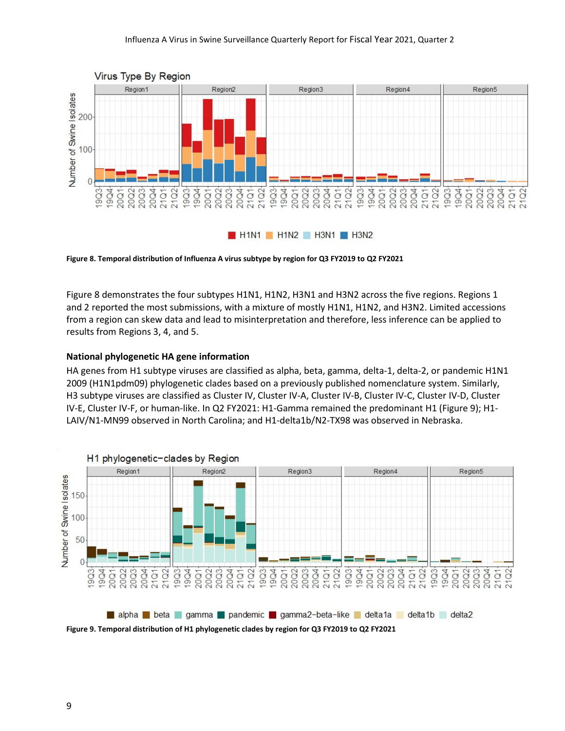![](_page_8_Figure_1.jpeg)

**Figure 8. Temporal distribution of Influenza A virus subtype by region for Q3 FY2019 to Q2 FY2021**

Figure 8 demonstrates the four subtypes H1N1, H1N2, H3N1 and H3N2 across the five regions. Regions 1 and 2 reported the most submissions, with a mixture of mostly H1N1, H1N2, and H3N2. Limited accessions from a region can skew data and lead to misinterpretation and therefore, less inference can be applied to results from Regions 3, 4, and 5.

#### **National phylogenetic HA gene information**

HA genes from H1 subtype viruses are classified as alpha, beta, gamma, delta-1, delta-2, or pandemic H1N1 2009 (H1N1pdm09) phylogenetic clades based on a previously published nomenclature system. Similarly, H3 subtype viruses are classified as Cluster IV, Cluster IV-A, Cluster IV-B, Cluster IV-C, Cluster IV-D, Cluster IV-E, Cluster IV-F, or human-like. In Q2 FY2021: H1-Gamma remained the predominant H1 (Figure 9); H1- LAIV/N1-MN99 observed in North Carolina; and H1-delta1b/N2-TX98 was observed in Nebraska.

![](_page_8_Figure_6.jpeg)

**Figure 9. Temporal distribution of H1 phylogenetic clades by region for Q3 FY2019 to Q2 FY2021**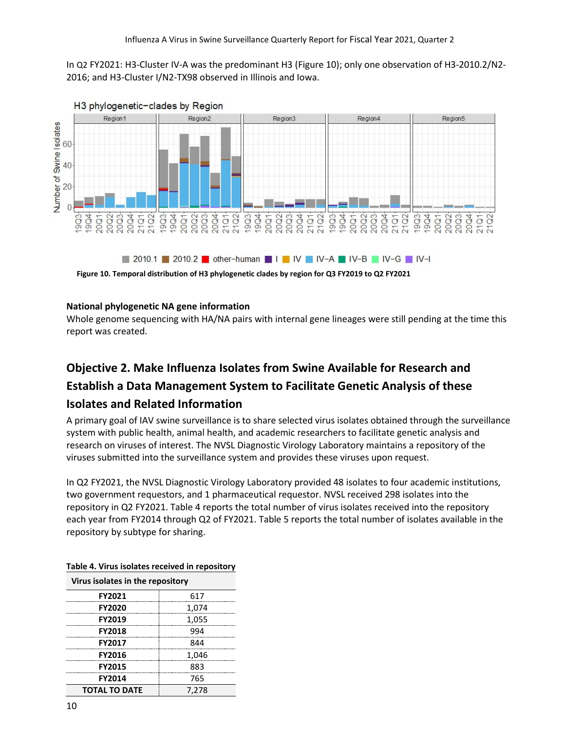In Q2 FY2021: H3-Cluster IV-A was the predominant H3 (Figure 10); only one observation of H3-2010.2/N2- 2016; and H3-Cluster I/N2-TX98 observed in Illinois and Iowa.

![](_page_9_Figure_2.jpeg)

**Figure 10. Temporal distribution of H3 phylogenetic clades by region for Q3 FY2019 to Q2 FY2021**

#### **National phylogenetic NA gene information**

Whole genome sequencing with HA/NA pairs with internal gene lineages were still pending at the time this report was created.

## **Objective 2. Make Influenza Isolates from Swine Available for Research and**

## **Establish a Data Management System to Facilitate Genetic Analysis of these**

#### **Isolates and Related Information**

A primary goal of IAV swine surveillance is to share selected virus isolates obtained through the surveillance system with public health, animal health, and academic researchers to facilitate genetic analysis and research on viruses of interest. The NVSL Diagnostic Virology Laboratory maintains a repository of the viruses submitted into the surveillance system and provides these viruses upon request.

In Q2 FY2021, the NVSL Diagnostic Virology Laboratory provided 48 isolates to four academic institutions, two government requestors, and 1 pharmaceutical requestor. NVSL received 298 isolates into the repository in Q2 FY2021. Table 4 reports the total number of virus isolates received into the repository each year from FY2014 through Q2 of FY2021. Table 5 reports the total number of isolates available in the repository by subtype for sharing.

| Virus isolates in the repository |       |  |
|----------------------------------|-------|--|
| <b>FY2021</b>                    | 617   |  |
| <b>FY2020</b>                    | 1,074 |  |
| FY2019                           | 1,055 |  |
| <b>FY2018</b>                    | 994   |  |
| <b>FY2017</b>                    | 844   |  |
| FY2016                           | 1,046 |  |
| <b>FY2015</b>                    | 883   |  |
| <b>FY2014</b>                    | 765   |  |
| <b>TOTAL TO DATE</b>             | 7.278 |  |

| Table 4. Virus isolates received in repository |  |  |
|------------------------------------------------|--|--|
|                                                |  |  |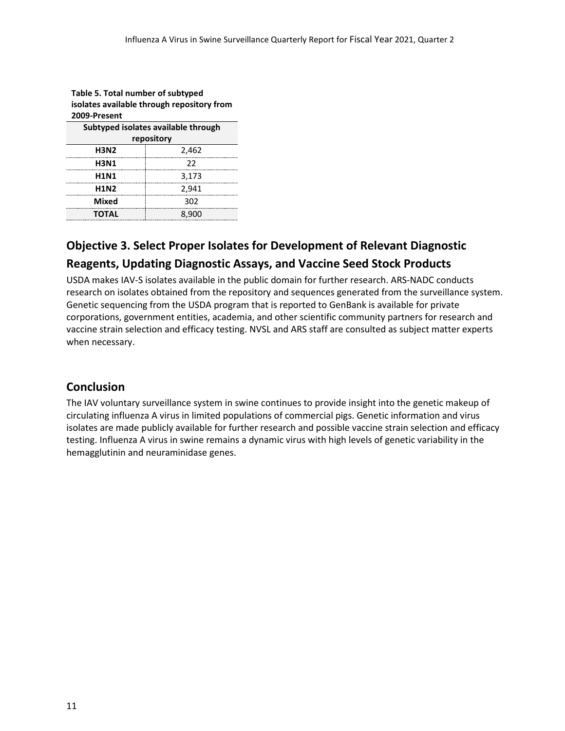| Table 5. Total number of subtyped          |       |  |
|--------------------------------------------|-------|--|
| isolates available through repository from |       |  |
| 2009-Present                               |       |  |
| Subtyped isolates available through        |       |  |
| repository                                 |       |  |
| <b>H3N2</b>                                | 2,462 |  |
| <b>H3N1</b>                                | 22    |  |
| <b>H1N1</b>                                | 3,173 |  |
| <b>H1N2</b>                                | 2,941 |  |
| Mixed                                      | 302   |  |
| <b>TOTAL</b>                               | 8.900 |  |

# **Table 5. Total number of subtyped**

## **Objective 3. Select Proper Isolates for Development of Relevant Diagnostic**

## **Reagents, Updating Diagnostic Assays, and Vaccine Seed Stock Products**

USDA makes IAV-S isolates available in the public domain for further research. ARS-NADC conducts research on isolates obtained from the repository and sequences generated from the surveillance system. Genetic sequencing from the USDA program that is reported to GenBank is available for private corporations, government entities, academia, and other scientific community partners for research and vaccine strain selection and efficacy testing. NVSL and ARS staff are consulted as subject matter experts when necessary.

## **Conclusion**

The IAV voluntary surveillance system in swine continues to provide insight into the genetic makeup of circulating influenza A virus in limited populations of commercial pigs. Genetic information and virus isolates are made publicly available for further research and possible vaccine strain selection and efficacy testing. Influenza A virus in swine remains a dynamic virus with high levels of genetic variability in the hemagglutinin and neuraminidase genes.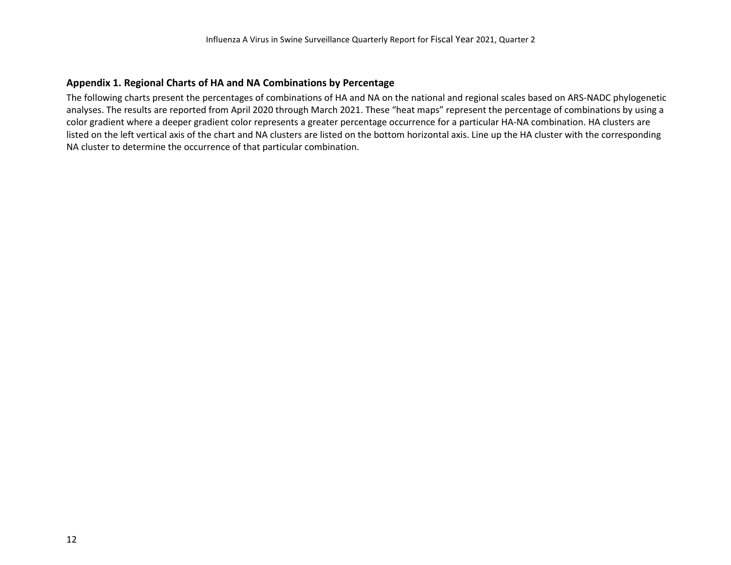#### **Appendix 1. Regional Charts of HA and NA Combinations by Percentage**

The following charts present the percentages of combinations of HA and NA on the national and regional scales based on ARS-NADC phylogenetic analyses. The results are reported from April 2020 through March 2021. These "heat maps" represent the percentage of combinations by using a color gradient where a deeper gradient color represents a greater percentage occurrence for a particular HA-NA combination. HA clusters are listed on the left vertical axis of the chart and NA clusters are listed on the bottom horizontal axis. Line up the HA cluster with the corresponding NA cluster to determine the occurrence of that particular combination.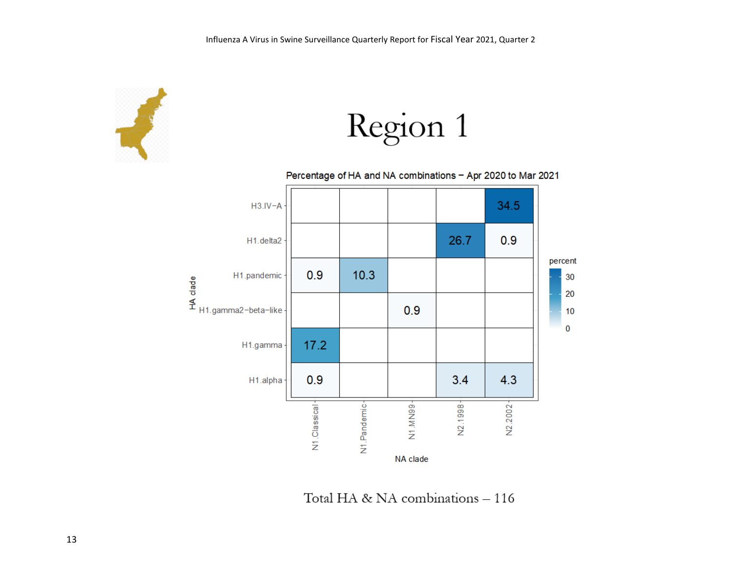![](_page_12_Picture_1.jpeg)

Region 1

Percentage of HA and NA combinations - Apr 2020 to Mar 2021  $H3.IV - A$ 34.5  $0.9$ 26.7 H1.delta2 percent  $0.9$  $10.3$ 30 20  $0.9$  $10$  $\bf{0}$  $17.2$ H1.gamma  $0.9$  $4.3$  $3.4$ H1.alpha N2.1998+ N1.Classical<sup>+</sup> N1.Pandemic-N1.MN99-N2.2002 NA clade

Total HA & NA combinations - 116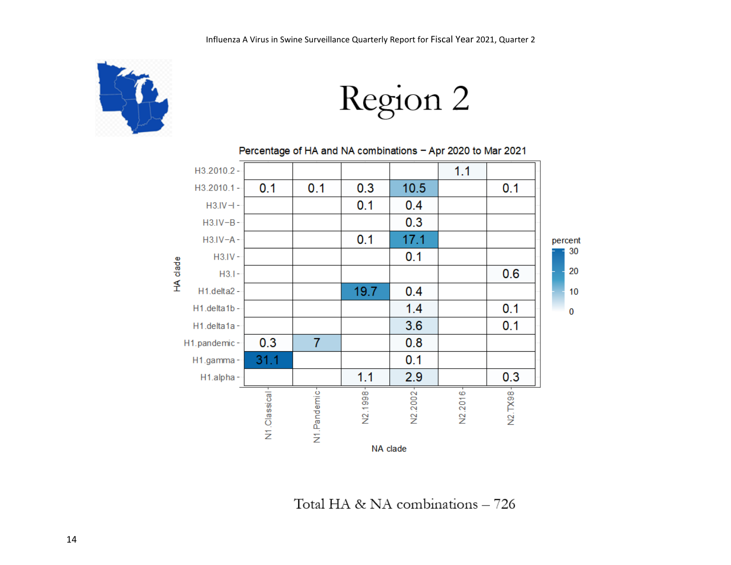![](_page_13_Picture_1.jpeg)

Region 2

Percentage of HA and NA combinations - Apr 2020 to Mar 2021

![](_page_13_Figure_4.jpeg)

Total HA & NA combinations - 726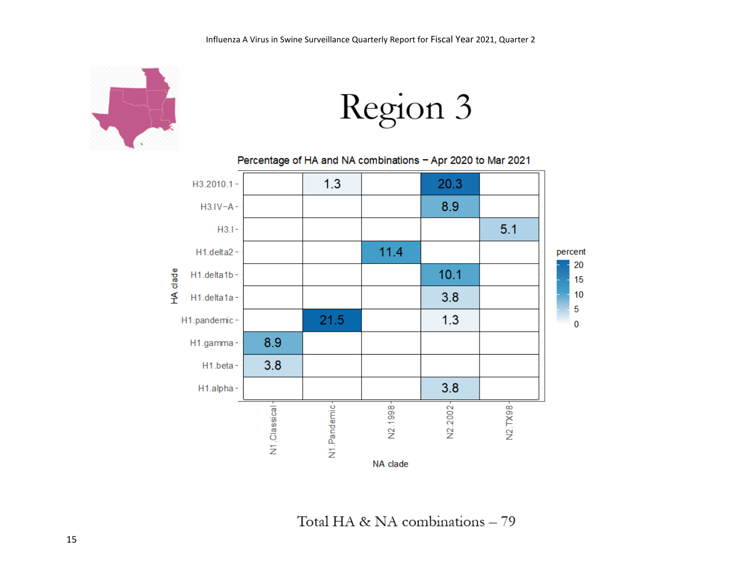![](_page_14_Picture_1.jpeg)

Region 3

#### Percentage of HA and NA combinations - Apr 2020 to Mar 2021

![](_page_14_Figure_4.jpeg)

Total HA & NA combinations - 79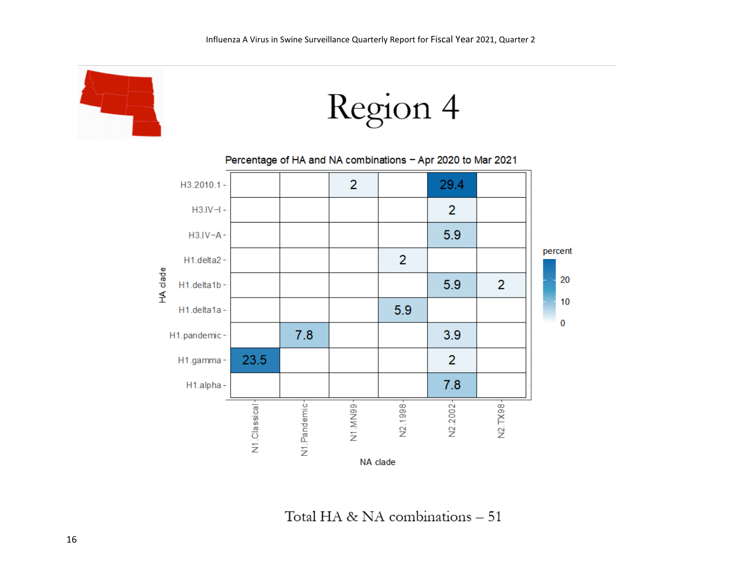![](_page_15_Picture_1.jpeg)

![](_page_15_Figure_2.jpeg)

Percentage of HA and NA combinations - Apr 2020 to Mar 2021

![](_page_15_Figure_4.jpeg)

Total HA & NA combinations - 51